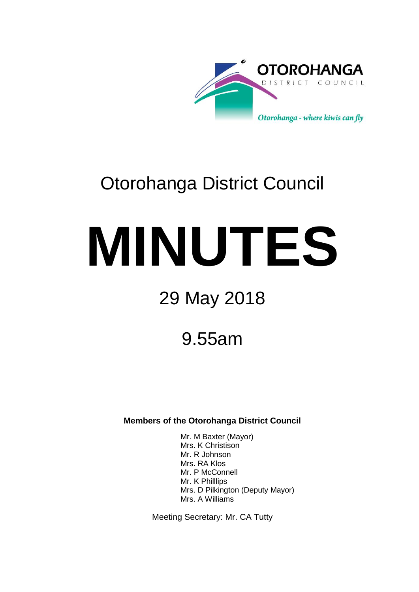

# Otorohanga District Council

# **MINUTES**

# 29 May 2018

## 9.55am

**Members of the Otorohanga District Council**

Mr. M Baxter (Mayor) Mrs. K Christison Mr. R Johnson Mrs. RA Klos Mr. P McConnell Mr. K Philllips Mrs. D Pilkington (Deputy Mayor) Mrs. A Williams

Meeting Secretary: Mr. CA Tutty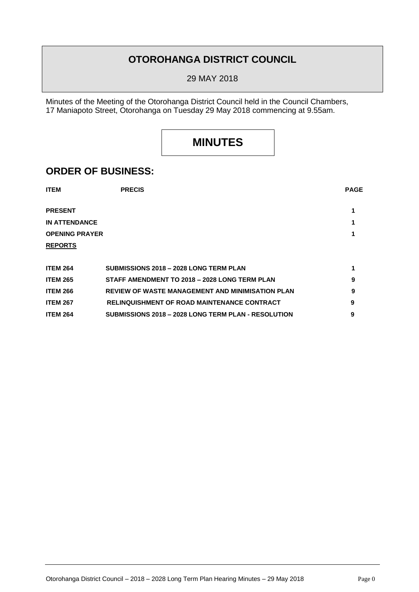## **OTOROHANGA DISTRICT COUNCIL**

29 MAY 2018

Minutes of the Meeting of the Otorohanga District Council held in the Council Chambers, 17 Maniapoto Street, Otorohanga on Tuesday 29 May 2018 commencing at 9.55am.

## **MINUTES**

### **ORDER OF BUSINESS:**

| <b>ITEM</b>           | <b>PRECIS</b>                                           | <b>PAGE</b> |
|-----------------------|---------------------------------------------------------|-------------|
| <b>PRESENT</b>        |                                                         |             |
| <b>IN ATTENDANCE</b>  |                                                         |             |
| <b>OPENING PRAYER</b> |                                                         |             |
| <b>REPORTS</b>        |                                                         |             |
|                       |                                                         |             |
| <b>ITEM 264</b>       | SUBMISSIONS 2018 - 2028 LONG TERM PLAN                  | 1           |
| <b>ITEM 265</b>       | STAFF AMENDMENT TO 2018 - 2028 LONG TERM PLAN           | 9           |
| <b>ITEM 266</b>       | <b>REVIEW OF WASTE MANAGEMENT AND MINIMISATION PLAN</b> | 9           |
|                       |                                                         |             |

| <b>ITEM 267</b> | <b>RELINQUISHMENT OF ROAD MAINTENANCE CONTRACT</b>         |  |
|-----------------|------------------------------------------------------------|--|
| <b>ITEM 264</b> | <b>SUBMISSIONS 2018 - 2028 LONG TERM PLAN - RESOLUTION</b> |  |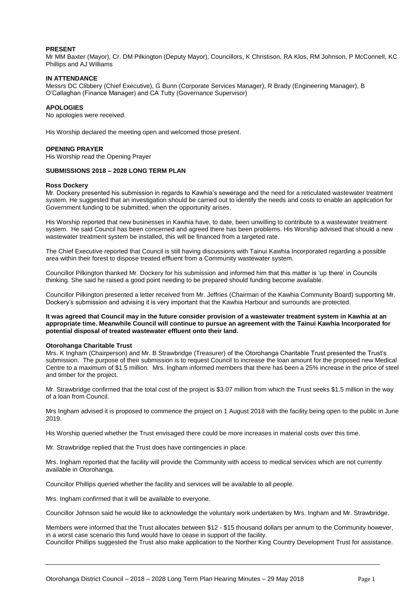#### **PRESENT**

Mr MM Baxter (Mayor), Cr. DM Pilkington (Deputy Mayor), Councillors, K Christison, RA Klos, RM Johnson, P McConnell, KC Phillips and AJ Williams

#### **IN ATTENDANCE**

Messrs DC Clibbery (Chief Executive), G Bunn (Corporate Services Manager), R Brady (Engineering Manager), B O'Callaghan (Finance Manager) and CA Tutty (Governance Supervisor)

#### **APOLOGIES**

No apologies were received.

His Worship declared the meeting open and welcomed those present.

#### **OPENING PRAYER**

His Worship read the Opening Prayer

#### **SUBMISSIONS 2018 – 2028 LONG TERM PLAN**

#### **Ross Dockery**

Mr. Dockery presented his submission in regards to Kawhia's sewerage and the need for a reticulated wastewater treatment system. He suggested that an investigation should be carried out to identify the needs and costs to enable an application for Government funding to be submitted, when the opportunity arises.

His Worship reported that new businesses in Kawhia have, to date, been unwilling to contribute to a wastewater treatment system. He said Council has been concerned and agreed there has been problems. His Worship advised that should a new wastewater treatment system be installed, this will be financed from a targeted rate.

The Chief Executive reported that Council is still having discussions with Tainui Kawhia Incorporated regarding a possible area within their forest to dispose treated effluent from a Community wastewater system.

Councillor Pilkington thanked Mr. Dockery for his submission and informed him that this matter is 'up there' in Councils thinking. She said he raised a good point needing to be prepared should funding become available.

Councillor Pilkington presented a letter received from Mr. Jeffries (Chairman of the Kawhia Community Board) supporting Mr. Dockery's submission and advising it is very important that the Kawhia Harbour and surrounds are protected.

#### **It was agreed that Council may in the future consider provision of a wastewater treatment system in Kawhia at an appropriate time. Meanwhile Council will continue to pursue an agreement with the Tainui Kawhia Incorporated for potential disposal of treated wastewater effluent onto their land.**

#### **Otorohanga Charitable Trust**

Mrs. K Ingham (Chairperson) and Mr. B Strawbridge (Treasurer) of the Otorohanga Charitable Trust presented the Trust's submission. The purpose of their submission is to request Council to increase the loan amount for the proposed new Medical Centre to a maximum of \$1.5 million. Mrs. Ingham informed members that there has been a 25% increase in the price of steel and timber for the project.

Mr. Strawbridge confirmed that the total cost of the project is \$3.07 million from which the Trust seeks \$1.5 million in the way of a loan from Council.

Mrs Ingham advised it is proposed to commence the project on 1 August 2018 with the facility being open to the public in June 2019.

His Worship queried whether the Trust envisaged there could be more increases in material costs over this time.

Mr. Strawbridge replied that the Trust does have contingencies in place.

Mrs. Ingham reported that the facility will provide the Community with access to medical services which are not currently available in Otorohanga.

Councillor Phillips queried whether the facility and services will be available to all people.

Mrs. Ingham confirmed that it will be available to everyone.

Councillor Johnson said he would like to acknowledge the voluntary work undertaken by Mrs. Ingham and Mr. Strawbridge.

Members were informed that the Trust allocates between \$12 - \$15 thousand dollars per annum to the Community however, in a worst case scenario this fund would have to cease in support of the facility. Councillor Phillips suggested the Trust also make application to the Norther King Country Development Trust for assistance.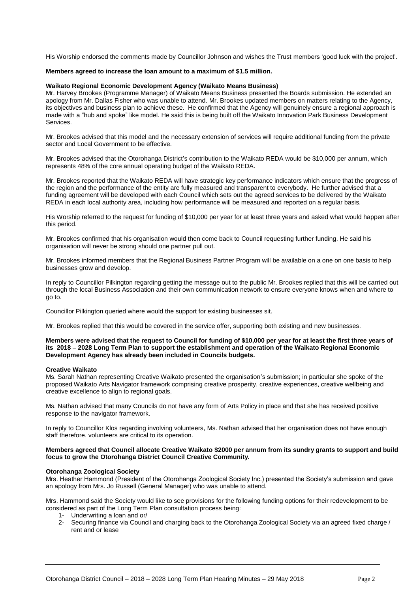His Worship endorsed the comments made by Councillor Johnson and wishes the Trust members 'good luck with the project'.

#### **Members agreed to increase the loan amount to a maximum of \$1.5 million.**

#### **Waikato Regional Economic Development Agency (Waikato Means Business)**

Mr. Harvey Brookes (Programme Manager) of Waikato Means Business presented the Boards submission. He extended an apology from Mr. Dallas Fisher who was unable to attend. Mr. Brookes updated members on matters relating to the Agency, its objectives and business plan to achieve these. He confirmed that the Agency will genuinely ensure a regional approach is made with a "hub and spoke" like model. He said this is being built off the Waikato Innovation Park Business Development Services.

Mr. Brookes advised that this model and the necessary extension of services will require additional funding from the private sector and Local Government to be effective.

Mr. Brookes advised that the Otorohanga District's contribution to the Waikato REDA would be \$10,000 per annum, which represents 48% of the core annual operating budget of the Waikato REDA.

Mr. Brookes reported that the Waikato REDA will have strategic key performance indicators which ensure that the progress of the region and the performance of the entity are fully measured and transparent to everybody. He further advised that a funding agreement will be developed with each Council which sets out the agreed services to be delivered by the Waikato REDA in each local authority area, including how performance will be measured and reported on a regular basis.

His Worship referred to the request for funding of \$10,000 per year for at least three years and asked what would happen after this period.

Mr. Brookes confirmed that his organisation would then come back to Council requesting further funding. He said his organisation will never be strong should one partner pull out.

Mr. Brookes informed members that the Regional Business Partner Program will be available on a one on one basis to help businesses grow and develop.

In reply to Councillor Pilkington regarding getting the message out to the public Mr. Brookes replied that this will be carried out through the local Business Association and their own communication network to ensure everyone knows when and where to go to.

Councillor Pilkington queried where would the support for existing businesses sit.

Mr. Brookes replied that this would be covered in the service offer, supporting both existing and new businesses.

#### **Members were advised that the request to Council for funding of \$10,000 per year for at least the first three years of its 2018 – 2028 Long Term Plan to support the establishment and operation of the Waikato Regional Economic Development Agency has already been included in Councils budgets.**

#### **Creative Waikato**

Ms. Sarah Nathan representing Creative Waikato presented the organisation's submission; in particular she spoke of the proposed Waikato Arts Navigator framework comprising creative prosperity, creative experiences, creative wellbeing and creative excellence to align to regional goals.

Ms. Nathan advised that many Councils do not have any form of Arts Policy in place and that she has received positive response to the navigator framework.

In reply to Councillor Klos regarding involving volunteers, Ms. Nathan advised that her organisation does not have enough staff therefore, volunteers are critical to its operation.

#### **Members agreed that Council allocate Creative Waikato \$2000 per annum from its sundry grants to support and build focus to grow the Otorohanga District Council Creative Community.**

#### **Otorohanga Zoological Society**

Mrs. Heather Hammond (President of the Otorohanga Zoological Society Inc.) presented the Society's submission and gave an apology from Mrs. Jo Russell (General Manager) who was unable to attend.

Mrs. Hammond said the Society would like to see provisions for the following funding options for their redevelopment to be considered as part of the Long Term Plan consultation process being:

- 1- Underwriting a loan and or/
- 2- Securing finance via Council and charging back to the Otorohanga Zoological Society via an agreed fixed charge / rent and or lease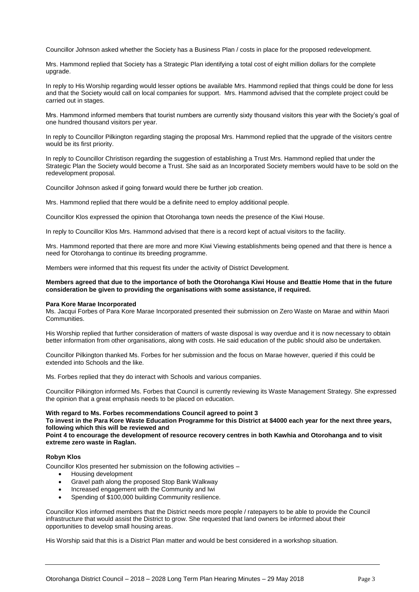Councillor Johnson asked whether the Society has a Business Plan / costs in place for the proposed redevelopment.

Mrs. Hammond replied that Society has a Strategic Plan identifying a total cost of eight million dollars for the complete upgrade.

In reply to His Worship regarding would lesser options be available Mrs. Hammond replied that things could be done for less and that the Society would call on local companies for support. Mrs. Hammond advised that the complete project could be carried out in stages.

Mrs. Hammond informed members that tourist numbers are currently sixty thousand visitors this year with the Society's goal of one hundred thousand visitors per year.

In reply to Councillor Pilkington regarding staging the proposal Mrs. Hammond replied that the upgrade of the visitors centre would be its first priority.

In reply to Councillor Christison regarding the suggestion of establishing a Trust Mrs. Hammond replied that under the Strategic Plan the Society would become a Trust. She said as an Incorporated Society members would have to be sold on the redevelopment proposal.

Councillor Johnson asked if going forward would there be further job creation.

Mrs. Hammond replied that there would be a definite need to employ additional people.

Councillor Klos expressed the opinion that Otorohanga town needs the presence of the Kiwi House.

In reply to Councillor Klos Mrs. Hammond advised that there is a record kept of actual visitors to the facility.

Mrs. Hammond reported that there are more and more Kiwi Viewing establishments being opened and that there is hence a need for Otorohanga to continue its breeding programme.

Members were informed that this request fits under the activity of District Development.

#### **Members agreed that due to the importance of both the Otorohanga Kiwi House and Beattie Home that in the future consideration be given to providing the organisations with some assistance, if required.**

#### **Para Kore Marae Incorporated**

Ms. Jacqui Forbes of Para Kore Marae Incorporated presented their submission on Zero Waste on Marae and within Maori Communities.

His Worship replied that further consideration of matters of waste disposal is way overdue and it is now necessary to obtain better information from other organisations, along with costs. He said education of the public should also be undertaken.

Councillor Pilkington thanked Ms. Forbes for her submission and the focus on Marae however, queried if this could be extended into Schools and the like.

Ms. Forbes replied that they do interact with Schools and various companies.

Councillor Pilkington informed Ms. Forbes that Council is currently reviewing its Waste Management Strategy. She expressed the opinion that a great emphasis needs to be placed on education.

#### **With regard to Ms. Forbes recommendations Council agreed to point 3**

**To invest in the Para Kore Waste Education Programme for this District at \$4000 each year for the next three years, following which this will be reviewed and** 

**Point 4 to encourage the development of resource recovery centres in both Kawhia and Otorohanga and to visit extreme zero waste in Raglan.** 

#### **Robyn Klos**

Councillor Klos presented her submission on the following activities –

- Housing development
- Gravel path along the proposed Stop Bank Walkway
- Increased engagement with the Community and Iwi
- Spending of \$100,000 building Community resilience.

Councillor Klos informed members that the District needs more people / ratepayers to be able to provide the Council infrastructure that would assist the District to grow. She requested that land owners be informed about their opportunities to develop small housing areas.

His Worship said that this is a District Plan matter and would be best considered in a workshop situation.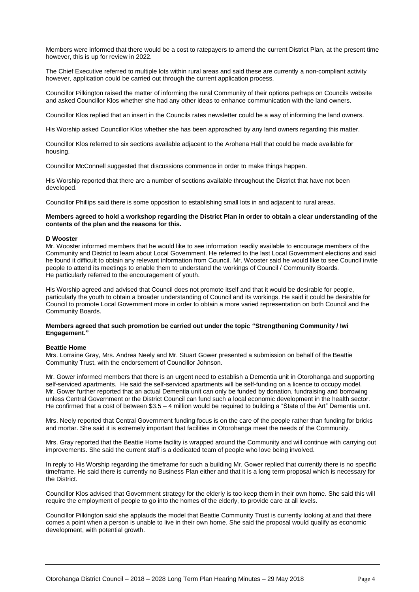Members were informed that there would be a cost to ratepayers to amend the current District Plan, at the present time however, this is up for review in 2022.

The Chief Executive referred to multiple lots within rural areas and said these are currently a non-compliant activity however, application could be carried out through the current application process.

Councillor Pilkington raised the matter of informing the rural Community of their options perhaps on Councils website and asked Councillor Klos whether she had any other ideas to enhance communication with the land owners.

Councillor Klos replied that an insert in the Councils rates newsletter could be a way of informing the land owners.

His Worship asked Councillor Klos whether she has been approached by any land owners regarding this matter.

Councillor Klos referred to six sections available adjacent to the Arohena Hall that could be made available for housing.

Councillor McConnell suggested that discussions commence in order to make things happen.

His Worship reported that there are a number of sections available throughout the District that have not been developed.

Councillor Phillips said there is some opposition to establishing small lots in and adjacent to rural areas.

#### **Members agreed to hold a workshop regarding the District Plan in order to obtain a clear understanding of the contents of the plan and the reasons for this.**

#### **D Wooster**

Mr. Wooster informed members that he would like to see information readily available to encourage members of the Community and District to learn about Local Government. He referred to the last Local Government elections and said he found it difficult to obtain any relevant information from Council. Mr. Wooster said he would like to see Council invite people to attend its meetings to enable them to understand the workings of Council / Community Boards. He particularly referred to the encouragement of youth.

His Worship agreed and advised that Council does not promote itself and that it would be desirable for people, particularly the youth to obtain a broader understanding of Council and its workings. He said it could be desirable for Council to promote Local Government more in order to obtain a more varied representation on both Council and the Community Boards.

#### **Members agreed that such promotion be carried out under the topic "Strengthening Community / Iwi Engagement."**

#### **Beattie Home**

Mrs. Lorraine Gray, Mrs. Andrea Neely and Mr. Stuart Gower presented a submission on behalf of the Beattie Community Trust, with the endorsement of Councillor Johnson.

Mr. Gower informed members that there is an urgent need to establish a Dementia unit in Otorohanga and supporting self-serviced apartments. He said the self-serviced apartments will be self-funding on a licence to occupy model. Mr. Gower further reported that an actual Dementia unit can only be funded by donation, fundraising and borrowing unless Central Government or the District Council can fund such a local economic development in the health sector. He confirmed that a cost of between \$3.5 – 4 million would be required to building a "State of the Art" Dementia unit.

Mrs. Neely reported that Central Government funding focus is on the care of the people rather than funding for bricks and mortar. She said it is extremely important that facilities in Otorohanga meet the needs of the Community.

Mrs. Gray reported that the Beattie Home facility is wrapped around the Community and will continue with carrying out improvements. She said the current staff is a dedicated team of people who love being involved.

In reply to His Worship regarding the timeframe for such a building Mr. Gower replied that currently there is no specific timeframe. He said there is currently no Business Plan either and that it is a long term proposal which is necessary for the District.

Councillor Klos advised that Government strategy for the elderly is too keep them in their own home. She said this will require the employment of people to go into the homes of the elderly, to provide care at all levels.

Councillor Pilkington said she applauds the model that Beattie Community Trust is currently looking at and that there comes a point when a person is unable to live in their own home. She said the proposal would qualify as economic development, with potential growth.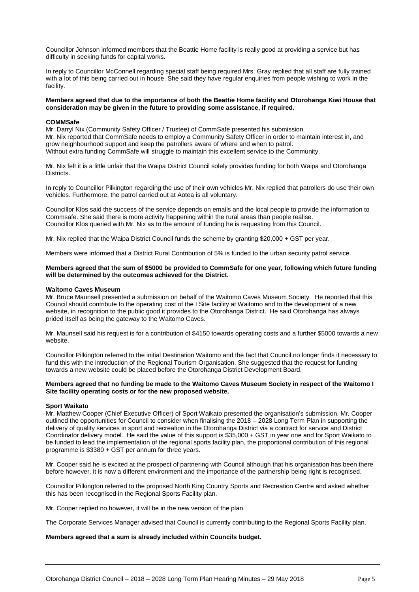Councillor Johnson informed members that the Beattie Home facility is really good at providing a service but has difficulty in seeking funds for capital works.

In reply to Councillor McConnell regarding special staff being required Mrs. Gray replied that all staff are fully trained with a lot of this being carried out in house. She said they have regular enquiries from people wishing to work in the facility.

#### **Members agreed that due to the importance of both the Beattie Home facility and Otorohanga Kiwi House that consideration may be given in the future to providing some assistance, if required.**

#### **COMMSafe**

Mr. Darryl Nix (Community Safety Officer / Trustee) of CommSafe presented his submission. Mr. Nix reported that CommSafe needs to employ a Community Safety Officer in order to maintain interest in, and grow neighbourhood support and keep the patrollers aware of where and when to patrol. Without extra funding CommSafe will struggle to maintain this excellent service to the Community.

Mr. Nix felt it is a little unfair that the Waipa District Council solely provides funding for both Waipa and Otorohanga Districts.

In reply to Councillor Pilkington regarding the use of their own vehicles Mr. Nix replied that patrollers do use their own vehicles. Furthermore, the patrol carried out at Aotea is all voluntary.

Councillor Klos said the success of the service depends on emails and the local people to provide the information to Commsafe. She said there is more activity happening within the rural areas than people realise. Councillor Klos queried with Mr. Nix as to the amount of funding he is requesting from this Council.

Mr. Nix replied that the Waipa District Council funds the scheme by granting \$20,000 + GST per year.

Members were informed that a District Rural Contribution of 5% is funded to the urban security patrol service.

#### **Members agreed that the sum of \$5000 be provided to CommSafe for one year, following which future funding will be determined by the outcomes achieved for the District.**

#### **Waitomo Caves Museum**

Mr. Bruce Maunsell presented a submission on behalf of the Waitomo Caves Museum Society. He reported that this Council should contribute to the operating cost of the I Site facility at Waitomo and to the development of a new website, in recognition to the public good it provides to the Otorohanga District. He said Otorohanga has always prided itself as being the gateway to the Waitomo Caves.

Mr. Maunsell said his request is for a contribution of \$4150 towards operating costs and a further \$5000 towards a new website.

Councillor Pilkington referred to the initial Destination Waitomo and the fact that Council no longer finds it necessary to fund this with the introduction of the Regional Tourism Organisation. She suggested that the request for funding towards a new website could be placed before the Otorohanga District Development Board.

#### **Members agreed that no funding be made to the Waitomo Caves Museum Society in respect of the Waitomo I Site facility operating costs or for the new proposed website.**

#### **Sport Waikato**

Mr. Matthew Cooper (Chief Executive Officer) of Sport Waikato presented the organisation's submission. Mr. Cooper outlined the opportunities for Council to consider when finalising the 2018 – 2028 Long Term Plan in supporting the delivery of quality services in sport and recreation in the Otorohanga District via a contract for service and District Coordinator delivery model. He said the value of this support is \$35,000 + GST in year one and for Sport Waikato to be funded to lead the implementation of the regional sports facility plan, the proportional contribution of this regional programme is \$3380 + GST per annum for three years.

Mr. Cooper said he is excited at the prospect of partnering with Council although that his organisation has been there before however, it is now a different environment and the importance of the partnership being right is recognised.

Councillor Pilkington referred to the proposed North King Country Sports and Recreation Centre and asked whether this has been recognised in the Regional Sports Facility plan.

Mr. Cooper replied no however, it will be in the new version of the plan.

The Corporate Services Manager advised that Council is currently contributing to the Regional Sports Facility plan.

#### **Members agreed that a sum is already included within Councils budget.**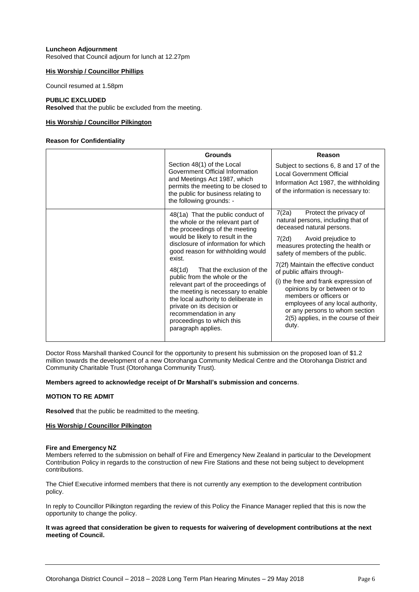#### **Luncheon Adjournment** Resolved that Council adjourn for lunch at 12.27pm

#### **His Worship / Councillor Phillips**

Council resumed at 1.58pm

#### **PUBLIC EXCLUDED**

**Resolved** that the public be excluded from the meeting.

#### **His Worship / Councillor Pilkington**

#### **Reason for Confidentiality**

| <b>Grounds</b>                                                                                                                                                                                                                                                                                                                                                                                                                                                                                                                           | Reason                                                                                                                                                                                                                                                                                                                                                                                                                                                                                                     |
|------------------------------------------------------------------------------------------------------------------------------------------------------------------------------------------------------------------------------------------------------------------------------------------------------------------------------------------------------------------------------------------------------------------------------------------------------------------------------------------------------------------------------------------|------------------------------------------------------------------------------------------------------------------------------------------------------------------------------------------------------------------------------------------------------------------------------------------------------------------------------------------------------------------------------------------------------------------------------------------------------------------------------------------------------------|
| Section 48(1) of the Local<br>Government Official Information<br>and Meetings Act 1987, which<br>permits the meeting to be closed to<br>the public for business relating to<br>the following grounds: -                                                                                                                                                                                                                                                                                                                                  | Subject to sections 6, 8 and 17 of the<br><b>Local Government Official</b><br>Information Act 1987, the withholding<br>of the information is necessary to:                                                                                                                                                                                                                                                                                                                                                 |
| 48(1a) That the public conduct of<br>the whole or the relevant part of<br>the proceedings of the meeting<br>would be likely to result in the<br>disclosure of information for which<br>good reason for withholding would<br>exist.<br>That the exclusion of the<br>48(1d)<br>public from the whole or the<br>relevant part of the proceedings of<br>the meeting is necessary to enable<br>the local authority to deliberate in<br>private on its decision or<br>recommendation in any<br>proceedings to which this<br>paragraph applies. | 7(2a)<br>Protect the privacy of<br>natural persons, including that of<br>deceased natural persons.<br>7(2d)<br>Avoid prejudice to<br>measures protecting the health or<br>safety of members of the public.<br>7(2f) Maintain the effective conduct<br>of public affairs through-<br>(i) the free and frank expression of<br>opinions by or between or to<br>members or officers or<br>employees of any local authority,<br>or any persons to whom section<br>2(5) applies, in the course of their<br>duty. |

Doctor Ross Marshall thanked Council for the opportunity to present his submission on the proposed loan of \$1.2 million towards the development of a new Otorohanga Community Medical Centre and the Otorohanga District and Community Charitable Trust (Otorohanga Community Trust).

#### **Members agreed to acknowledge receipt of Dr Marshall's submission and concerns**.

#### **MOTION TO RE ADMIT**

**Resolved** that the public be readmitted to the meeting.

#### **His Worship / Councillor Pilkington**

#### **Fire and Emergency NZ**

Members referred to the submission on behalf of Fire and Emergency New Zealand in particular to the Development Contribution Policy in regards to the construction of new Fire Stations and these not being subject to development contributions.

The Chief Executive informed members that there is not currently any exemption to the development contribution policy.

In reply to Councillor Pilkington regarding the review of this Policy the Finance Manager replied that this is now the opportunity to change the policy.

#### **It was agreed that consideration be given to requests for waivering of development contributions at the next meeting of Council.**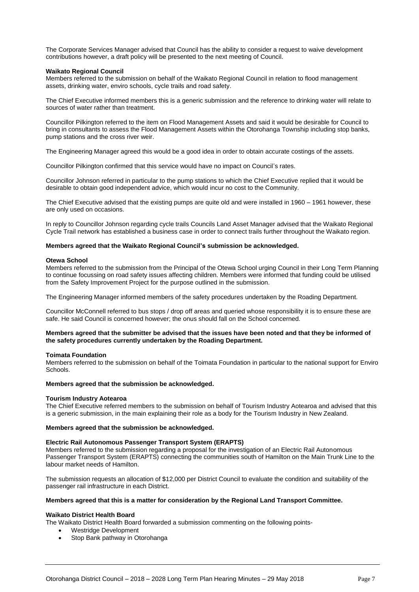The Corporate Services Manager advised that Council has the ability to consider a request to waive development contributions however, a draft policy will be presented to the next meeting of Council.

#### **Waikato Regional Council**

Members referred to the submission on behalf of the Waikato Regional Council in relation to flood management assets, drinking water, enviro schools, cycle trails and road safety.

The Chief Executive informed members this is a generic submission and the reference to drinking water will relate to sources of water rather than treatment.

Councillor Pilkington referred to the item on Flood Management Assets and said it would be desirable for Council to bring in consultants to assess the Flood Management Assets within the Otorohanga Township including stop banks, pump stations and the cross river weir.

The Engineering Manager agreed this would be a good idea in order to obtain accurate costings of the assets.

Councillor Pilkington confirmed that this service would have no impact on Council's rates.

Councillor Johnson referred in particular to the pump stations to which the Chief Executive replied that it would be desirable to obtain good independent advice, which would incur no cost to the Community.

The Chief Executive advised that the existing pumps are quite old and were installed in 1960 – 1961 however, these are only used on occasions.

In reply to Councillor Johnson regarding cycle trails Councils Land Asset Manager advised that the Waikato Regional Cycle Trail network has established a business case in order to connect trails further throughout the Waikato region.

#### **Members agreed that the Waikato Regional Council's submission be acknowledged.**

#### **Otewa School**

Members referred to the submission from the Principal of the Otewa School urging Council in their Long Term Planning to continue focussing on road safety issues affecting children. Members were informed that funding could be utilised from the Safety Improvement Project for the purpose outlined in the submission.

The Engineering Manager informed members of the safety procedures undertaken by the Roading Department.

Councillor McConnell referred to bus stops / drop off areas and queried whose responsibility it is to ensure these are safe. He said Council is concerned however; the onus should fall on the School concerned.

#### **Members agreed that the submitter be advised that the issues have been noted and that they be informed of the safety procedures currently undertaken by the Roading Department.**

#### **Toimata Foundation**

Members referred to the submission on behalf of the Toimata Foundation in particular to the national support for Enviro Schools.

#### **Members agreed that the submission be acknowledged.**

#### **Tourism Industry Aotearoa**

The Chief Executive referred members to the submission on behalf of Tourism Industry Aotearoa and advised that this is a generic submission, in the main explaining their role as a body for the Tourism Industry in New Zealand.

#### **Members agreed that the submission be acknowledged.**

#### **Electric Rail Autonomous Passenger Transport System (ERAPTS)**

Members referred to the submission regarding a proposal for the investigation of an Electric Rail Autonomous Passenger Transport System (ERAPTS) connecting the communities south of Hamilton on the Main Trunk Line to the labour market needs of Hamilton.

The submission requests an allocation of \$12,000 per District Council to evaluate the condition and suitability of the passenger rail infrastructure in each District.

#### **Members agreed that this is a matter for consideration by the Regional Land Transport Committee.**

#### **Waikato District Health Board**

The Waikato District Health Board forwarded a submission commenting on the following points-

- Westridge Development
- Stop Bank pathway in Otorohanga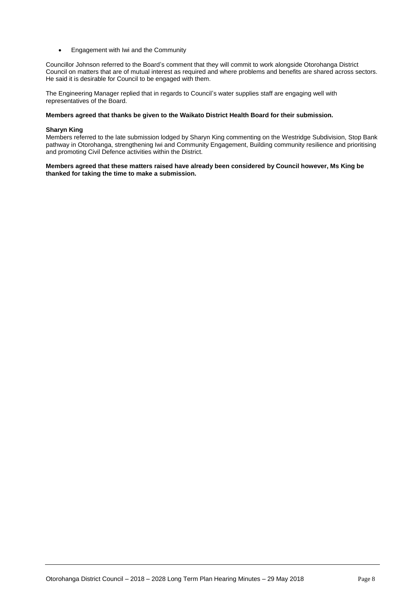**Engagement with Iwi and the Community** 

Councillor Johnson referred to the Board's comment that they will commit to work alongside Otorohanga District Council on matters that are of mutual interest as required and where problems and benefits are shared across sectors. He said it is desirable for Council to be engaged with them.

The Engineering Manager replied that in regards to Council's water supplies staff are engaging well with representatives of the Board.

#### **Members agreed that thanks be given to the Waikato District Health Board for their submission.**

#### **Sharyn King**

Members referred to the late submission lodged by Sharyn King commenting on the Westridge Subdivision, Stop Bank pathway in Otorohanga, strengthening Iwi and Community Engagement, Building community resilience and prioritising and promoting Civil Defence activities within the District.

**Members agreed that these matters raised have already been considered by Council however, Ms King be thanked for taking the time to make a submission.**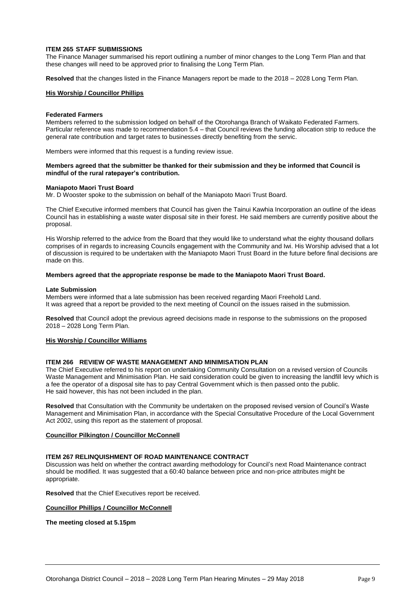#### **ITEM 265 STAFF SUBMISSIONS**

The Finance Manager summarised his report outlining a number of minor changes to the Long Term Plan and that these changes will need to be approved prior to finalising the Long Term Plan.

**Resolved** that the changes listed in the Finance Managers report be made to the 2018 – 2028 Long Term Plan.

#### **His Worship / Councillor Phillips**

#### **Federated Farmers**

Members referred to the submission lodged on behalf of the Otorohanga Branch of Waikato Federated Farmers. Particular reference was made to recommendation 5.4 – that Council reviews the funding allocation strip to reduce the general rate contribution and target rates to businesses directly benefiting from the servic.

Members were informed that this request is a funding review issue.

#### **Members agreed that the submitter be thanked for their submission and they be informed that Council is mindful of the rural ratepayer's contribution.**

#### **Maniapoto Maori Trust Board**

Mr. D Wooster spoke to the submission on behalf of the Maniapoto Maori Trust Board.

The Chief Executive informed members that Council has given the Tainui Kawhia Incorporation an outline of the ideas Council has in establishing a waste water disposal site in their forest. He said members are currently positive about the proposal.

His Worship referred to the advice from the Board that they would like to understand what the eighty thousand dollars comprises of in regards to increasing Councils engagement with the Community and Iwi. His Worship advised that a lot of discussion is required to be undertaken with the Maniapoto Maori Trust Board in the future before final decisions are made on this.

#### **Members agreed that the appropriate response be made to the Maniapoto Maori Trust Board.**

#### **Late Submission**

Members were informed that a late submission has been received regarding Maori Freehold Land. It was agreed that a report be provided to the next meeting of Council on the issues raised in the submission.

**Resolved** that Council adopt the previous agreed decisions made in response to the submissions on the proposed 2018 – 2028 Long Term Plan.

#### **His Worship / Councillor Williams**

#### **ITEM 266 REVIEW OF WASTE MANAGEMENT AND MINIMISATION PLAN**

The Chief Executive referred to his report on undertaking Community Consultation on a revised version of Councils Waste Management and Minimisation Plan. He said consideration could be given to increasing the landfill levy which is a fee the operator of a disposal site has to pay Central Government which is then passed onto the public. He said however, this has not been included in the plan.

**Resolved** that Consultation with the Community be undertaken on the proposed revised version of Council's Waste Management and Minimisation Plan, in accordance with the Special Consultative Procedure of the Local Government Act 2002, using this report as the statement of proposal.

#### **Councillor Pilkington / Councillor McConnell**

#### **ITEM 267 RELINQUISHMENT OF ROAD MAINTENANCE CONTRACT**

Discussion was held on whether the contract awarding methodology for Council's next Road Maintenance contract should be modified. It was suggested that a 60:40 balance between price and non-price attributes might be appropriate.

**Resolved** that the Chief Executives report be received.

#### **Councillor Phillips / Councillor McConnell**

**The meeting closed at 5.15pm**